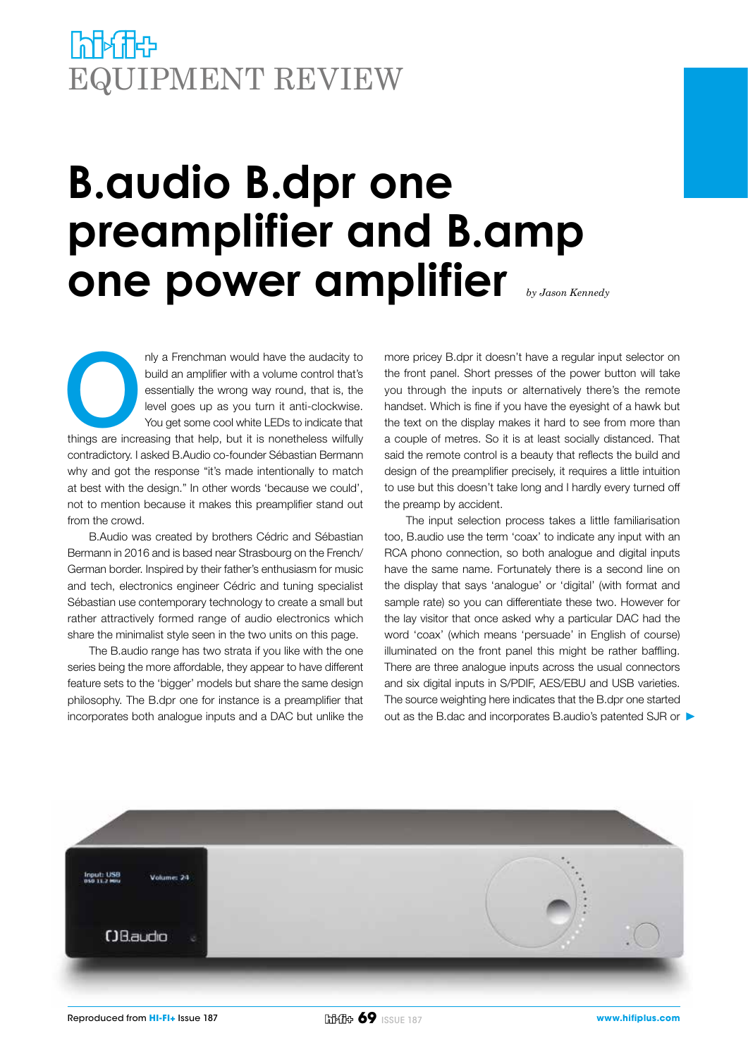# **PAPA THEP** EQUIPMENT REVIEW

# **B.audio B.dpr one preamplifier and B.amp one power amplifier** *by Jason Kennedy*

nly a Frenchman would have the audacity to build an amplifier with a volume control that's essentially the wrong way round, that is, the level goes up as you turn it anti-clockwise. You get some cool white LEDs to indicate build an amplifier with a volume control that's essentially the wrong way round, that is, the level goes up as you turn it anti-clockwise. You get some cool white LEDs to indicate that contradictory. I asked B.Audio co-founder Sébastian Bermann why and got the response "it's made intentionally to match at best with the design." In other words 'because we could', not to mention because it makes this preamplifier stand out from the crowd.

B.Audio was created by brothers Cédric and Sébastian Bermann in 2016 and is based near Strasbourg on the French/ German border. Inspired by their father's enthusiasm for music and tech, electronics engineer Cédric and tuning specialist Sébastian use contemporary technology to create a small but rather attractively formed range of audio electronics which share the minimalist style seen in the two units on this page.

The B.audio range has two strata if you like with the one series being the more affordable, they appear to have different feature sets to the 'bigger' models but share the same design philosophy. The B.dpr one for instance is a preamplifier that incorporates both analogue inputs and a DAC but unlike the

more pricey B.dpr it doesn't have a regular input selector on the front panel. Short presses of the power button will take you through the inputs or alternatively there's the remote handset. Which is fine if you have the eyesight of a hawk but the text on the display makes it hard to see from more than a couple of metres. So it is at least socially distanced. That said the remote control is a beauty that reflects the build and design of the preamplifier precisely, it requires a little intuition to use but this doesn't take long and I hardly every turned off the preamp by accident.

The input selection process takes a little familiarisation too, B.audio use the term 'coax' to indicate any input with an RCA phono connection, so both analogue and digital inputs have the same name. Fortunately there is a second line on the display that says 'analogue' or 'digital' (with format and sample rate) so you can differentiate these two. However for the lay visitor that once asked why a particular DAC had the word 'coax' (which means 'persuade' in English of course) illuminated on the front panel this might be rather baffling. There are three analogue inputs across the usual connectors and six digital inputs in S/PDIF, AES/EBU and USB varieties. The source weighting here indicates that the B.dpr one started out as the B.dac and incorporates B.audio's patented SJR or

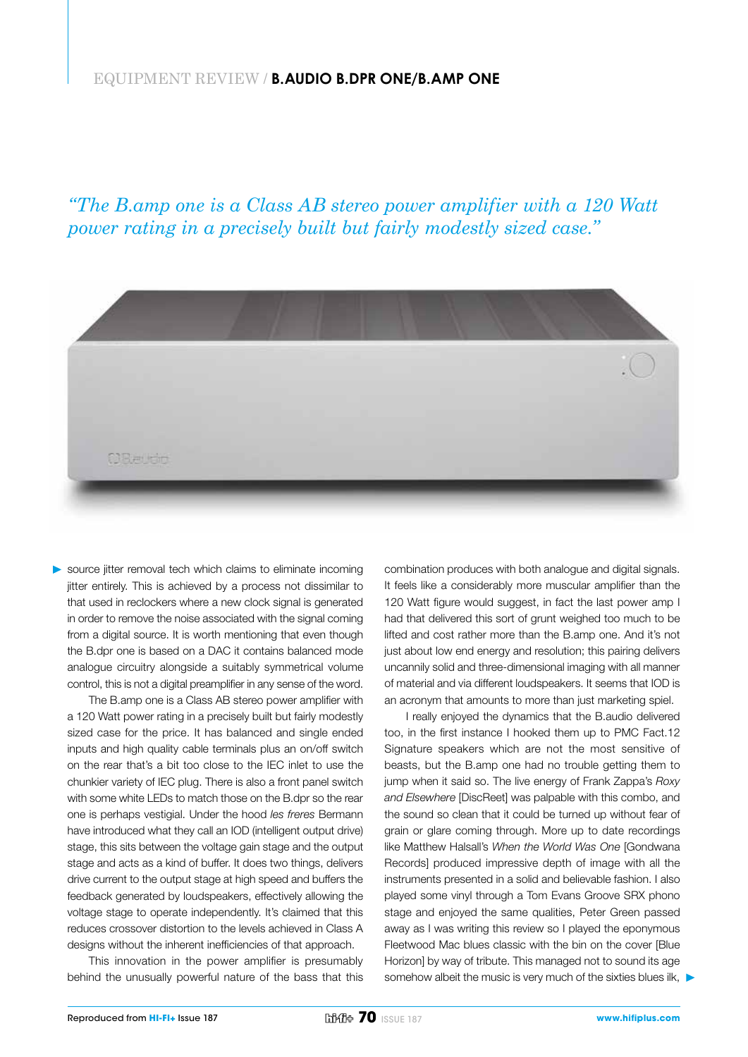### EQUIPMENT REVIEW / **B.AUDIO B.DPR ONE/B.AMP ONE**

*"The B.amp one is a Class AB stereo power amplifier with a 120 Watt power rating in a precisely built but fairly modestly sized case."*



source jitter removal tech which claims to eliminate incoming jitter entirely. This is achieved by a process not dissimilar to that used in reclockers where a new clock signal is generated in order to remove the noise associated with the signal coming from a digital source. It is worth mentioning that even though the B.dpr one is based on a DAC it contains balanced mode analogue circuitry alongside a suitably symmetrical volume control, this is not a digital preamplifier in any sense of the word.

The B.amp one is a Class AB stereo power amplifier with a 120 Watt power rating in a precisely built but fairly modestly sized case for the price. It has balanced and single ended inputs and high quality cable terminals plus an on/off switch on the rear that's a bit too close to the IEC inlet to use the chunkier variety of IEC plug. There is also a front panel switch with some white LEDs to match those on the B.dpr so the rear one is perhaps vestigial. Under the hood *les freres* Bermann have introduced what they call an IOD (intelligent output drive) stage, this sits between the voltage gain stage and the output stage and acts as a kind of buffer. It does two things, delivers drive current to the output stage at high speed and buffers the feedback generated by loudspeakers, effectively allowing the voltage stage to operate independently. It's claimed that this reduces crossover distortion to the levels achieved in Class A designs without the inherent inefficiencies of that approach.

This innovation in the power amplifier is presumably behind the unusually powerful nature of the bass that this combination produces with both analogue and digital signals. It feels like a considerably more muscular amplifier than the 120 Watt figure would suggest, in fact the last power amp I had that delivered this sort of grunt weighed too much to be lifted and cost rather more than the B.amp one. And it's not just about low end energy and resolution; this pairing delivers uncannily solid and three-dimensional imaging with all manner of material and via different loudspeakers. It seems that IOD is an acronym that amounts to more than just marketing spiel.

I really enjoyed the dynamics that the B.audio delivered too, in the first instance I hooked them up to PMC Fact.12 Signature speakers which are not the most sensitive of beasts, but the B.amp one had no trouble getting them to jump when it said so. The live energy of Frank Zappa's *Roxy and Elsewhere* [DiscReet] was palpable with this combo, and the sound so clean that it could be turned up without fear of grain or glare coming through. More up to date recordings like Matthew Halsall's *When the World Was One* [Gondwana Records] produced impressive depth of image with all the instruments presented in a solid and believable fashion. I also played some vinyl through a Tom Evans Groove SRX phono stage and enjoyed the same qualities, Peter Green passed away as I was writing this review so I played the eponymous Fleetwood Mac blues classic with the bin on the cover [Blue Horizon] by way of tribute. This managed not to sound its age somehow albeit the music is very much of the sixties blues ilk,